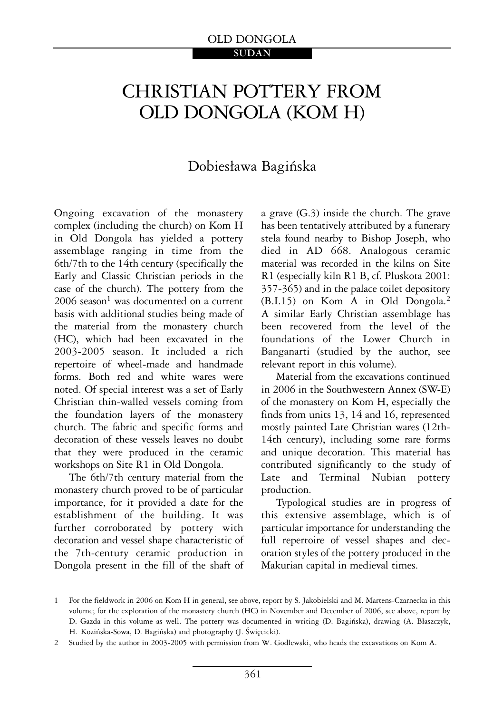# CHRISTIAN POTTERY FROM OLD DONGOLA (KOM H)

# Dobiesława Bagińska

Ongoing excavation of the monastery complex (including the church) on Kom H in Old Dongola has yielded a pottery assemblage ranging in time from the 6th/7th to the 14th century (specifically the Early and Classic Christian periods in the case of the church). The pottery from the  $2006$  season<sup>1</sup> was documented on a current basis with additional studies being made of the material from the monastery church (HC), which had been excavated in the 2003-2005 season. It included a rich repertoire of wheel-made and handmade forms. Both red and white wares were noted. Of special interest was a set of Early Christian thin-walled vessels coming from the foundation layers of the monastery church. The fabric and specific forms and decoration of these vessels leaves no doubt that they were produced in the ceramic workshops on Site R1 in Old Dongola.

The 6th/7th century material from the monastery church proved to be of particular importance, for it provided a date for the establishment of the building. It was further corroborated by pottery with decoration and vessel shape characteristic of the 7th-century ceramic production in Dongola present in the fill of the shaft of a grave (G.3) inside the church. The grave has been tentatively attributed by a funerary stela found nearby to Bishop Joseph, who died in AD 668. Analogous ceramic material was recorded in the kilns on Site R1 (especially kiln R1 B, cf. Pluskota 2001: 357-365) and in the palace toilet depository (B.I.15) on Kom A in Old Dongola.2 A similar Early Christian assemblage has been recovered from the level of the foundations of the Lower Church in Banganarti (studied by the author, see relevant report in this volume).

Material from the excavations continued in 2006 in the Southwestern Annex (SW-E) of the monastery on Kom H, especially the finds from units 13, 14 and 16, represented mostly painted Late Christian wares (12th-14th century), including some rare forms and unique decoration. This material has contributed significantly to the study of Late and Terminal Nubian pottery production.

Typological studies are in progress of this extensive assemblage, which is of particular importance for understanding the full repertoire of vessel shapes and decoration styles of the pottery produced in the Makurian capital in medieval times.

<sup>1</sup> For the fieldwork in 2006 on Kom H in general, see above, report by S. Jakobielski and M. Martens-Czarnecka in this volume; for the exploration of the monastery church (HC) in November and December of 2006, see above, report by D. Gazda in this volume as well. The pottery was documented in writing (D. Bagińska), drawing (A. Błaszczyk, H. Kozińska-Sowa, D. Bagińska) and photography (J. Święcicki).

<sup>2</sup> Studied by the author in 2003-2005 with permission from W. Godlewski, who heads the excavations on Kom A.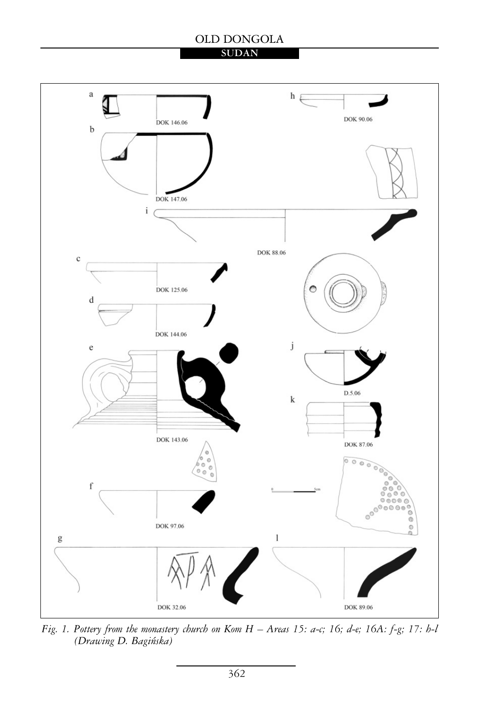

Fig. 1. Pottery from the monastery church on Kom H - Areas 15: a-c; 16; d-e; 16A: f-g; 17: h-l (Drawing D. Bagińska)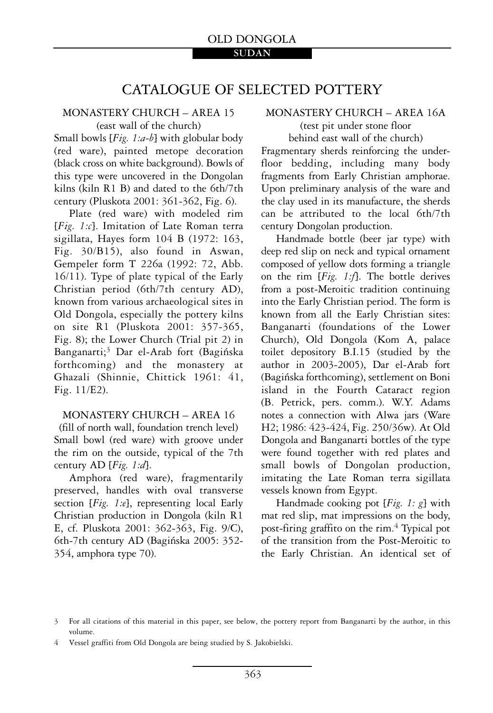# CATALOGUE OF SELECTED POTTERY

#### MONASTERY CHURCH – AREA 15

(east wall of the church)

Small bowls [*Fig. 1:a-b*] with globular body (red ware), painted metope decoration (black cross on white background). Bowls of this type were uncovered in the Dongolan kilns (kiln R1 B) and dated to the 6th/7th century (Pluskota 2001: 361-362, Fig. 6).

Plate (red ware) with modeled rim [*Fig. 1:c*]. Imitation of Late Roman terra sigillata, Hayes form 104 B (1972: 163, Fig. 30/B15), also found in Aswan, Gempeler form T 226a (1992: 72, Abb. 16/11). Type of plate typical of the Early Christian period (6th/7th century AD), known from various archaeological sites in Old Dongola, especially the pottery kilns on site R1 (Pluskota 2001: 357-365, Fig. 8); the Lower Church (Trial pit 2) in Banganarti;3 Dar el-Arab fort (Bagiñska forthcoming) and the monastery at Ghazali (Shinnie, Chittick 1961: 41, Fig. 11/E2).

#### MONASTERY CHURCH – AREA 16

(fill of north wall, foundation trench level) Small bowl (red ware) with groove under the rim on the outside, typical of the 7th century AD [*Fig. 1:d*].

Amphora (red ware), fragmentarily preserved, handles with oval transverse section [*Fig. 1:e*], representing local Early Christian production in Dongola (kiln R1 E, cf. Pluskota 2001: 362-363, Fig. 9/C), 6th-7th century AD (Bagiñska 2005: 352- 354, amphora type 70).

#### MONASTERY CHURCH – AREA 16A

(test pit under stone floor

behind east wall of the church)

Fragmentary sherds reinforcing the underfloor bedding, including many body fragments from Early Christian amphorae. Upon preliminary analysis of the ware and the clay used in its manufacture, the sherds can be attributed to the local 6th/7th century Dongolan production.

Handmade bottle (beer jar type) with deep red slip on neck and typical ornament composed of yellow dots forming a triangle on the rim [*Fig. 1:f*]. The bottle derives from a post-Meroitic tradition continuing into the Early Christian period. The form is known from all the Early Christian sites: Banganarti (foundations of the Lower Church), Old Dongola (Kom A, palace toilet depository B.I.15 (studied by the author in 2003-2005), Dar el-Arab fort (Bagiñska forthcoming), settlement on Boni island in the Fourth Cataract region (B. Petrick, pers. comm.). W.Y. Adams notes a connection with Alwa jars (Ware H2; 1986: 423-424, Fig. 250/36w). At Old Dongola and Banganarti bottles of the type were found together with red plates and small bowls of Dongolan production, imitating the Late Roman terra sigillata vessels known from Egypt.

Handmade cooking pot [*Fig. 1: g*] with mat red slip, mat impressions on the body, post-firing graffito on the rim.4 Typical pot of the transition from the Post-Meroitic to the Early Christian. An identical set of

<sup>3</sup> For all citations of this material in this paper, see below, the pottery report from Banganarti by the author, in this volume.

<sup>4</sup> Vessel graffiti from Old Dongola are being studied by S. Jakobielski.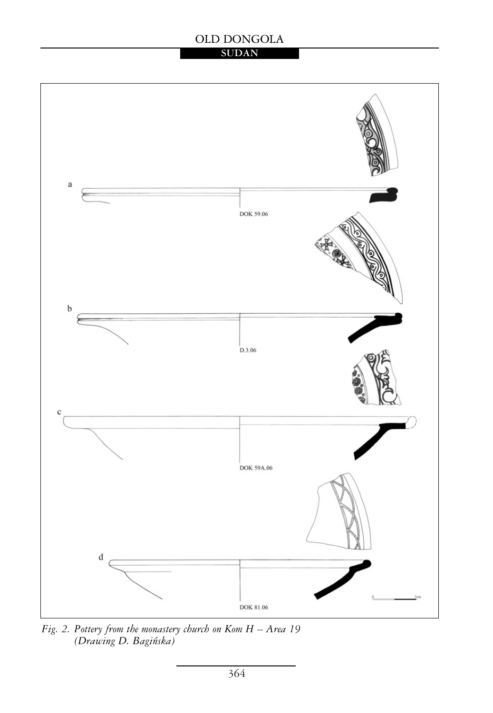

Fig. 2. Pottery from the monastery church on Kom H - Area 19 (Drawing D. Bagińska)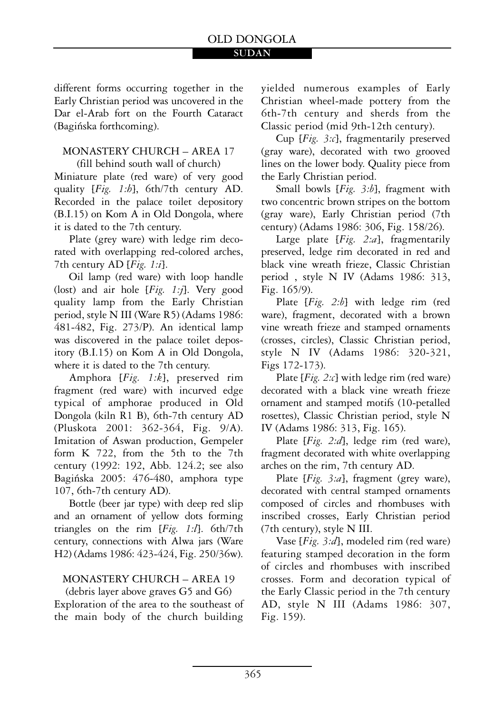different forms occurring together in the Early Christian period was uncovered in the Dar el-Arab fort on the Fourth Cataract (Bagiñska forthcoming).

# MONASTERY CHURCH – AREA 17

(fill behind south wall of church) Miniature plate (red ware) of very good quality [*Fig. 1:h*], 6th/7th century AD. Recorded in the palace toilet depository (B.I.15) on Kom A in Old Dongola, where it is dated to the 7th century.

Plate (grey ware) with ledge rim decorated with overlapping red-colored arches, 7th century AD [*Fig. 1:i*].

Oil lamp (red ware) with loop handle (lost) and air hole [*Fig. 1:j*]. Very good quality lamp from the Early Christian period, style N III (Ware R5) (Adams 1986: 481-482, Fig. 273/P). An identical lamp was discovered in the palace toilet depository (B.I.15) on Kom A in Old Dongola, where it is dated to the 7th century.

Amphora [*Fig. 1:k*], preserved rim fragment (red ware) with incurved edge typical of amphorae produced in Old Dongola (kiln R1 B), 6th-7th century AD (Pluskota 2001: 362-364, Fig. 9/A). Imitation of Aswan production, Gempeler form K 722, from the 5th to the 7th century (1992: 192, Abb. 124.2; see also Bagiñska 2005: 476-480, amphora type 107, 6th-7th century AD).

Bottle (beer jar type) with deep red slip and an ornament of yellow dots forming triangles on the rim [*Fig. 1:l*]. 6th/7th century, connections with Alwa jars (Ware H2) (Adams 1986: 423-424, Fig. 250/36w).

### MONASTERY CHURCH – AREA 19

(debris layer above graves G5 and G6) Exploration of the area to the southeast of the main body of the church building yielded numerous examples of Early Christian wheel-made pottery from the 6th-7th century and sherds from the Classic period (mid 9th-12th century).

Cup [*Fig. 3:c*], fragmentarily preserved (gray ware), decorated with two grooved lines on the lower body. Quality piece from the Early Christian period.

Small bowls [*Fig. 3:b*], fragment with two concentric brown stripes on the bottom (gray ware), Early Christian period (7th century) (Adams 1986: 306, Fig. 158/26).

Large plate [*Fig. 2:a*], fragmentarily preserved, ledge rim decorated in red and black vine wreath frieze, Classic Christian period , style N IV (Adams 1986: 313, Fig. 165/9).

Plate [*Fig. 2:b*] with ledge rim (red ware), fragment, decorated with a brown vine wreath frieze and stamped ornaments (crosses, circles), Classic Christian period, style N IV (Adams 1986: 320-321, Figs 172-173).

Plate [*Fig. 2:c*] with ledge rim (red ware) decorated with a black vine wreath frieze ornament and stamped motifs (10-petalled rosettes), Classic Christian period, style N IV (Adams 1986: 313, Fig. 165).

Plate [*Fig. 2:d*], ledge rim (red ware), fragment decorated with white overlapping arches on the rim, 7th century AD.

Plate [*Fig. 3:a*], fragment (grey ware), decorated with central stamped ornaments composed of circles and rhombuses with inscribed crosses, Early Christian period (7th century), style N III.

Vase [*Fig. 3:d*], modeled rim (red ware) featuring stamped decoration in the form of circles and rhombuses with inscribed crosses. Form and decoration typical of the Early Classic period in the 7th century AD, style N III (Adams 1986: 307, Fig. 159).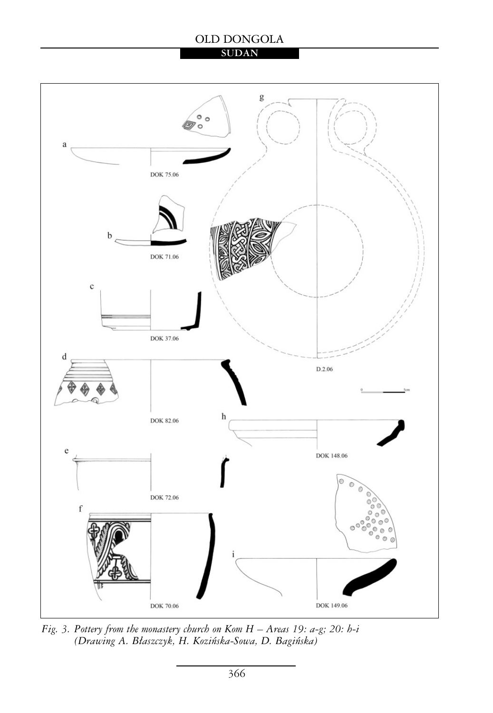

Fig. 3. Pottery from the monastery church on Kom  $H -$  Areas 19: a-g; 20: h-i (Drawing A. Błaszczyk, H. Kozińska-Sowa, D. Bagińska)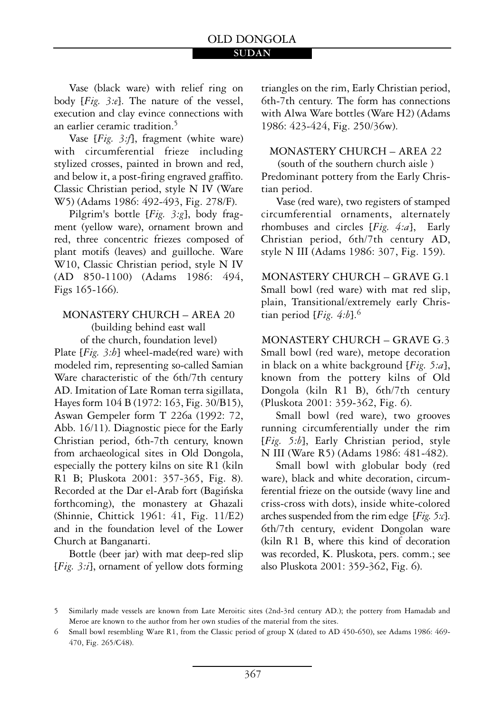Vase (black ware) with relief ring on body [*Fig. 3:e*]. The nature of the vessel, execution and clay evince connections with an earlier ceramic tradition.<sup>5</sup>

Vase [*Fig. 3:f*], fragment (white ware) with circumferential frieze including stylized crosses, painted in brown and red, and below it, a post-firing engraved graffito. Classic Christian period, style N IV (Ware W5) (Adams 1986: 492-493, Fig. 278/F).

Pilgrim's bottle [*Fig. 3:g*], body fragment (yellow ware), ornament brown and red, three concentric friezes composed of plant motifs (leaves) and guilloche. Ware W10, Classic Christian period, style N IV (AD 850-1100) (Adams 1986: 494, Figs 165-166).

#### MONASTERY CHURCH – AREA 20 (building behind east wall of the church, foundation level)

Plate [*Fig. 3:h*] wheel-made(red ware) with modeled rim, representing so-called Samian Ware characteristic of the 6th/7th century AD. Imitation of Late Roman terra sigillata, Hayes form 104 B (1972: 163, Fig. 30/B15), Aswan Gempeler form T 226a (1992: 72, Abb. 16/11). Diagnostic piece for the Early Christian period, 6th-7th century, known from archaeological sites in Old Dongola, especially the pottery kilns on site R1 (kiln R1 B; Pluskota 2001: 357-365, Fig. 8). Recorded at the Dar el-Arab fort (Bagiñska forthcoming), the monastery at Ghazali (Shinnie, Chittick 1961: 41, Fig. 11/E2) and in the foundation level of the Lower Church at Banganarti.

Bottle (beer jar) with mat deep-red slip [*Fig. 3:i*], ornament of yellow dots forming triangles on the rim, Early Christian period, 6th-7th century. The form has connections with Alwa Ware bottles (Ware H2) (Adams 1986: 423-424, Fig. 250/36w).

#### MONASTERY CHURCH – AREA 22

(south of the southern church aisle ) Predominant pottery from the Early Christian period.

Vase (red ware), two registers of stamped circumferential ornaments, alternately rhombuses and circles [*Fig. 4:a*], Early Christian period, 6th/7th century AD, style N III (Adams 1986: 307, Fig. 159).

MONASTERY CHURCH – GRAVE G.1 Small bowl (red ware) with mat red slip, plain, Transitional/extremely early Christian period [*Fig. 4:b*].6

MONASTERY CHURCH – GRAVE G.3 Small bowl (red ware), metope decoration in black on a white background [*Fig. 5:a*], known from the pottery kilns of Old Dongola (kiln R1 B), 6th/7th century (Pluskota 2001: 359-362, Fig. 6).

Small bowl (red ware), two grooves running circumferentially under the rim [*Fig. 5:b*], Early Christian period, style N III (Ware R5) (Adams 1986: 481-482).

Small bowl with globular body (red ware), black and white decoration, circumferential frieze on the outside (wavy line and criss-cross with dots), inside white-colored arches suspended from the rim edge [*Fig. 5:c*]. 6th/7th century, evident Dongolan ware (kiln R1 B, where this kind of decoration was recorded, K. Pluskota, pers. comm.; see also Pluskota 2001: 359-362, Fig. 6).

<sup>5</sup> Similarly made vessels are known from Late Meroitic sites (2nd-3rd century AD.); the pottery from Hamadab and Meroe are known to the author from her own studies of the material from the sites.

<sup>6</sup> Small bowl resembling Ware R1, from the Classic period of group X (dated to AD 450-650), see Adams 1986: 469- 470, Fig. 265/C48).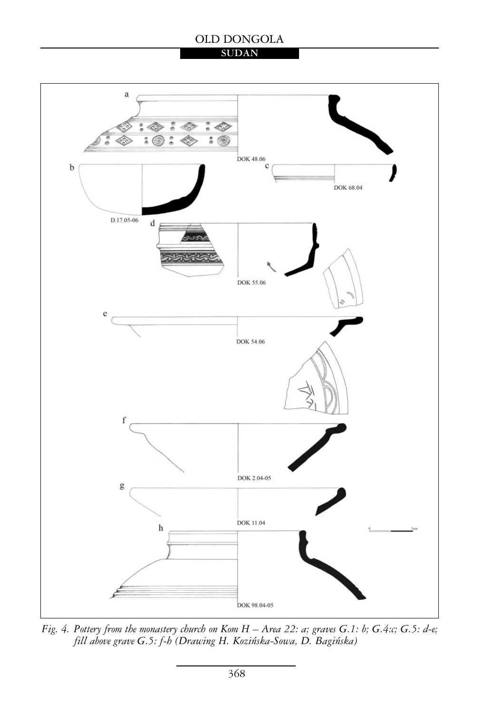

*Fig. 4. Pottery from the monastery church on Kom H – Area 22: a; graves G.1: b; G.4:c; G.5: d-e; fill above grave G.5: f-h (Drawing* H. Koziñska-Sowa, D. Bagiñska*)*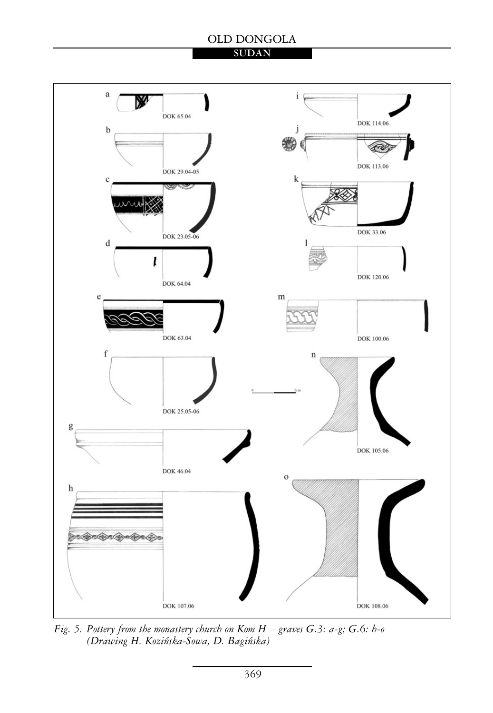

Fig. 5. Pottery from the monastery church on Kom  $H$  – graves  $G.3$ : a-g;  $G.6$ : h-o (Drawing H. Kozińska-Śowa, D. Bagińska)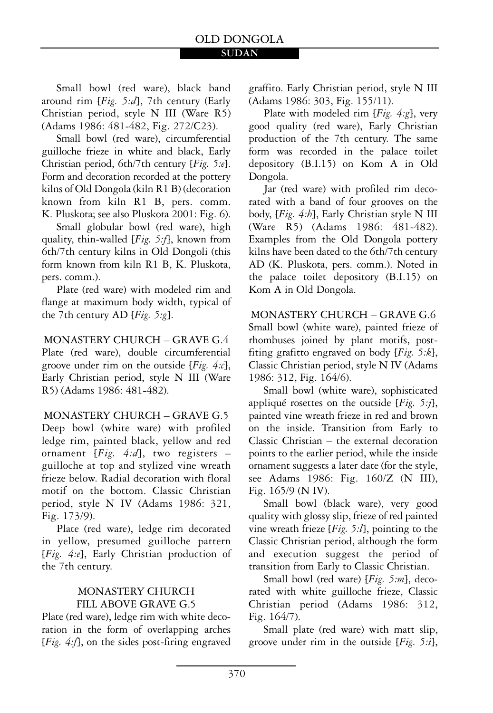#### **SUDAN**

Small bowl (red ware), black band around rim [*Fig. 5:d*], 7th century (Early Christian period, style N III (Ware R5) (Adams 1986: 481-482, Fig. 272/C23).

Small bowl (red ware), circumferential guilloche frieze in white and black, Early Christian period, 6th/7th century [*Fig. 5:e*]. Form and decoration recorded at the pottery kilns of Old Dongola (kiln R1 B) (decoration known from kiln R1 B, pers. comm. K. Pluskota; see also Pluskota 2001: Fig. 6).

Small globular bowl (red ware), high quality, thin-walled [*Fig. 5:f*], known from 6th/7th century kilns in Old Dongoli (this form known from kiln R1 B, K. Pluskota, pers. comm.).

Plate (red ware) with modeled rim and flange at maximum body width, typical of the 7th century AD [*Fig. 5:g*].

MONASTERY CHURCH – GRAVE G.4 Plate (red ware), double circumferential groove under rim on the outside [*Fig. 4:c*], Early Christian period, style N III (Ware R5) (Adams 1986: 481-482).

MONASTERY CHURCH – GRAVE G.5 Deep bowl (white ware) with profiled ledge rim, painted black, yellow and red ornament [*Fig. 4:d*], two registers – guilloche at top and stylized vine wreath frieze below. Radial decoration with floral motif on the bottom. Classic Christian period, style N IV (Adams 1986: 321, Fig. 173/9).

Plate (red ware), ledge rim decorated in yellow, presumed guilloche pattern [*Fig. 4:e*], Early Christian production of the 7th century.

#### MONASTERY CHURCH FILL ABOVE GRAVE G.5

Plate (red ware), ledge rim with white decoration in the form of overlapping arches [*Fig. 4:f*], on the sides post-firing engraved graffito. Early Christian period, style N III (Adams 1986: 303, Fig. 155/11).

Plate with modeled rim [*Fig. 4:g*], very good quality (red ware), Early Christian production of the 7th century. The same form was recorded in the palace toilet depository (B.I.15) on Kom A in Old Dongola.

Jar (red ware) with profiled rim decorated with a band of four grooves on the body, [*Fig. 4:h*], Early Christian style N III (Ware R5) (Adams 1986: 481-482). Examples from the Old Dongola pottery kilns have been dated to the 6th/7th century AD (K. Pluskota, pers. comm.). Noted in the palace toilet depository (B.I.15) on Kom A in Old Dongola.

MONASTERY CHURCH – GRAVE G.6 Small bowl (white ware), painted frieze of rhombuses joined by plant motifs, postfiting grafitto engraved on body [*Fig. 5:k*], Classic Christian period, style N IV (Adams 1986: 312, Fig. 164/6).

Small bowl (white ware), sophisticated appliqué rosettes on the outside [*Fig. 5:j*], painted vine wreath frieze in red and brown on the inside. Transition from Early to Classic Christian – the external decoration points to the earlier period, while the inside ornament suggests a later date (for the style, see Adams 1986: Fig. 160/Z (N III), Fig. 165/9 (N IV).

Small bowl (black ware), very good quality with glossy slip, frieze of red painted vine wreath frieze [*Fig. 5:l*], pointing to the Classic Christian period, although the form and execution suggest the period of transition from Early to Classic Christian.

Small bowl (red ware) [*Fig. 5:m*], decorated with white guilloche frieze, Classic Christian period (Adams 1986: 312, Fig. 164/7).

Small plate (red ware) with matt slip, groove under rim in the outside [*Fig. 5:i*],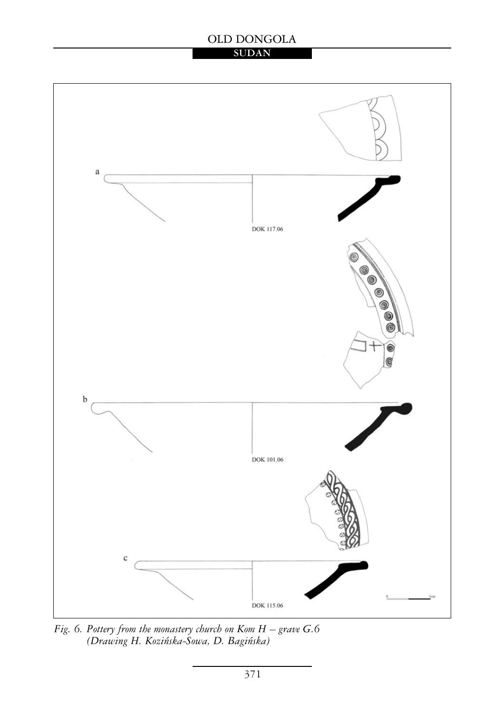

Fig. 6. Pottery from the monastery church on Kom  $H$  – grave  $G.6$ (Drawing H. Kozińska-Śowa, D. Bagińska)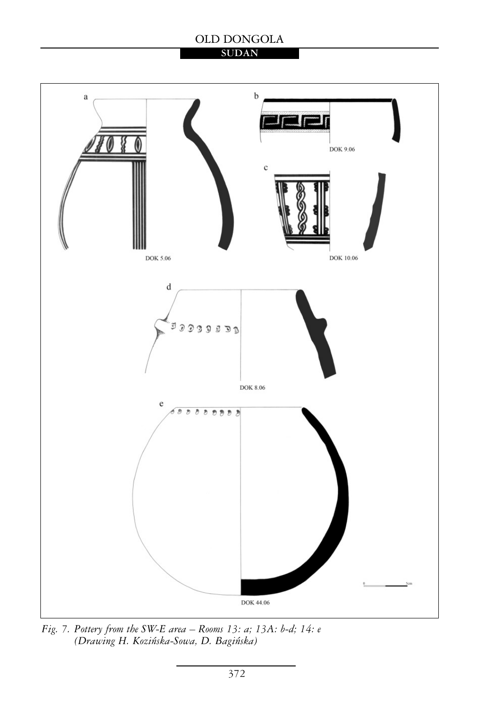

Fig. 7. Pottery from the SW-E area - Rooms 13: a; 13A: b-d; 14: e (Drawing H. Kozińska-Sowa, D. Bagińska)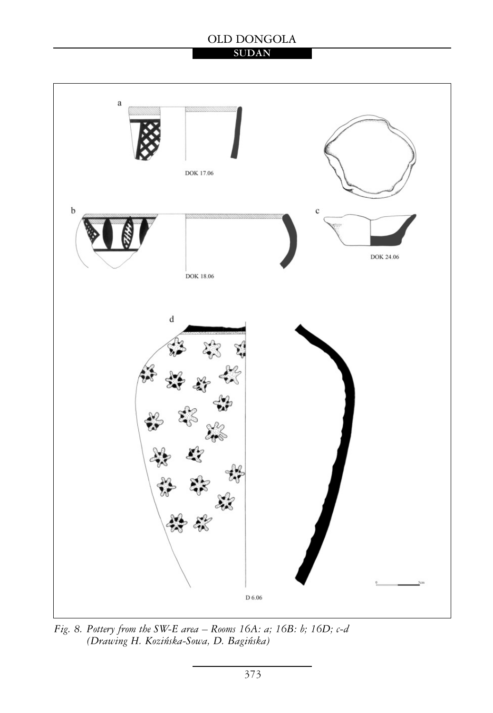

Fig. 8. Pottery from the SW-E area - Rooms 16A: a; 16B: b; 16D; c-d (Drawing H. Kozińska-Sowa, D. Bagińska)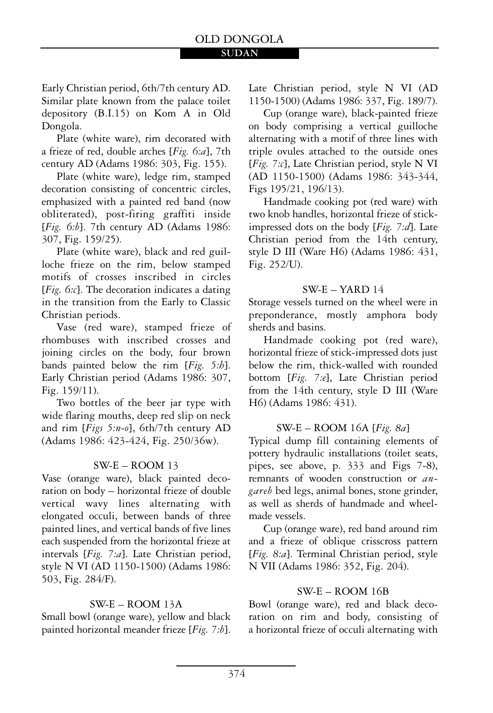#### **SUDAN**

Early Christian period, 6th/7th century AD. Similar plate known from the palace toilet depository (B.I.15) on Kom A in Old Dongola.

Plate (white ware), rim decorated with a frieze of red, double arches [*Fig. 6:a*], 7th century AD (Adams 1986: 303, Fig. 155).

Plate (white ware), ledge rim, stamped decoration consisting of concentric circles, emphasized with a painted red band (now obliterated), post-firing graffiti inside [*Fig. 6:b*]. 7th century AD (Adams 1986: 307, Fig. 159/25).

Plate (white ware), black and red guilloche frieze on the rim, below stamped motifs of crosses inscribed in circles [*Fig. 6:c*]. The decoration indicates a dating in the transition from the Early to Classic Christian periods.

Vase (red ware), stamped frieze of rhombuses with inscribed crosses and joining circles on the body, four brown bands painted below the rim [*Fig. 5:h*]. Early Christian period (Adams 1986: 307, Fig. 159/11).

Two bottles of the beer jar type with wide flaring mouths, deep red slip on neck and rim [*Figs 5:n-o*], 6th/7th century AD (Adams 1986: 423-424, Fig. 250/36w).

#### SW-E – ROOM 13

Vase (orange ware), black painted decoration on body – horizontal frieze of double vertical wavy lines alternating with elongated occuli, between bands of three painted lines, and vertical bands of five lines each suspended from the horizontal frieze at intervals [*Fig. 7:a*]. Late Christian period, style N VI (AD 1150-1500) (Adams 1986: 503, Fig. 284/F).

#### SW-E – ROOM 13A

Small bowl (orange ware), yellow and black painted horizontal meander frieze [*Fig. 7:b*].

Late Christian period, style N VI (AD 1150-1500) (Adams 1986: 337, Fig. 189/7).

Cup (orange ware), black-painted frieze on body comprising a vertical guilloche alternating with a motif of three lines with triple ovules attached to the outside ones [*Fig. 7:c*], Late Christian period, style N VI (AD 1150-1500) (Adams 1986: 343-344, Figs 195/21, 196/13).

Handmade cooking pot (red ware) with two knob handles, horizontal frieze of stickimpressed dots on the body [*Fig. 7:d*]. Late Christian period from the 14th century, style D III (Ware H6) (Adams 1986: 431, Fig. 252/U).

#### SW-E – YARD 14

Storage vessels turned on the wheel were in preponderance, mostly amphora body sherds and basins.

Handmade cooking pot (red ware), horizontal frieze of stick-impressed dots just below the rim, thick-walled with rounded bottom [*Fig. 7:e*], Late Christian period from the 14th century, style D III (Ware H6) (Adams 1986: 431).

#### SW-E – ROOM 16A [*Fig. 8a*]

Typical dump fill containing elements of pottery hydraulic installations (toilet seats, pipes, see above, p. 333 and Figs 7-8), remnants of wooden construction or *angareb* bed legs, animal bones, stone grinder, as well as sherds of handmade and wheelmade vessels.

Cup (orange ware), red band around rim and a frieze of oblique crisscross pattern [*Fig. 8:a*]. Terminal Christian period, style N VII (Adams 1986: 352, Fig. 204).

#### SW-E – ROOM 16B

Bowl (orange ware), red and black decoration on rim and body, consisting of a horizontal frieze of occuli alternating with